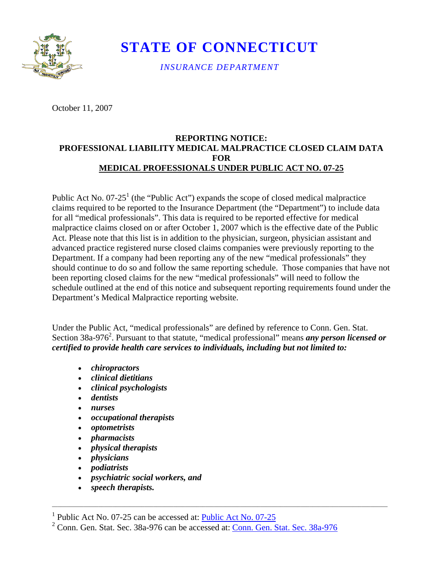

**STATE OF CONNECTICUT** 

*INSURANCE DEPARTMENT* 

October 11, 2007

## **REPORTING NOTICE: PROFESSIONAL LIABILITY MEDICAL MALPRACTICE CLOSED CLAIM DATA FOR MEDICAL PROFESSIONALS UNDER PUBLIC ACT NO. 07-25**

Public Act No. 07-25<sup>1</sup> (the "Public Act") expands the scope of closed medical malpractice claims required to be reported to the Insurance Department (the "Department") to include data for all "medical professionals". This data is required to be reported effective for medical malpractice claims closed on or after October 1, 2007 which is the effective date of the Public Act. Please note that this list is in addition to the physician, surgeon, physician assistant and advanced practice registered nurse closed claims companies were previously reporting to the Department. If a company had been reporting any of the new "medical professionals" they should continue to do so and follow the same reporting schedule. Those companies that have not been reporting closed claims for the new "medical professionals" will need to follow the schedule outlined at the end of this notice and subsequent reporting requirements found under the Department's Medical Malpractice reporting website.

 *certified to provide health care services to individuals, including but not limited to:* Under the Public Act, "medical professionals" are defined by reference to Conn. Gen. Stat. Section 38a-976<sup>2</sup>. Pursuant to that statute, "medical professional" means *any person licensed or* 

- *chiropractors*
- *clinical dietitians*
- *clinical psychologists*
- *dentists*
- *nurses*
- *occupational therapists*
- *optometrists*
- *pharmacists*
- *physical therapists*
- *physicians*
- *podiatrists*
- *psychiatric social workers, and*
- *speech therapists.*

\_\_\_\_\_\_\_\_\_\_\_\_\_\_\_\_\_\_\_\_\_\_\_\_\_\_\_\_\_\_\_\_\_\_\_\_\_\_\_\_\_\_\_\_\_\_\_\_\_\_\_\_\_\_\_\_\_\_\_\_\_\_\_\_\_\_\_\_\_\_\_\_\_\_\_\_\_\_\_\_\_\_\_\_\_\_\_\_\_\_\_\_\_\_\_\_\_\_\_\_\_\_\_\_\_\_\_\_\_\_\_\_\_\_\_\_

<sup>&</sup>lt;sup>1</sup> [Public Act No. 07-25](http://www.cga.ct.gov/2007/ACT/PA/2007PA-00025-R00SB-00249-PA.htm) can be accessed at:  $\frac{\text{Public Act No. 07-25}}{\text{Conn Can Step 5}}$ 

<sup>&</sup>lt;sup>2</sup> [Conn. Gen. Stat. Sec. 38a-976](https://www.cga.ct.gov/current/pub/chap_705.htm#sec_38a-976) can be accessed at: Conn. Gen. Stat. Sec. 38a-976